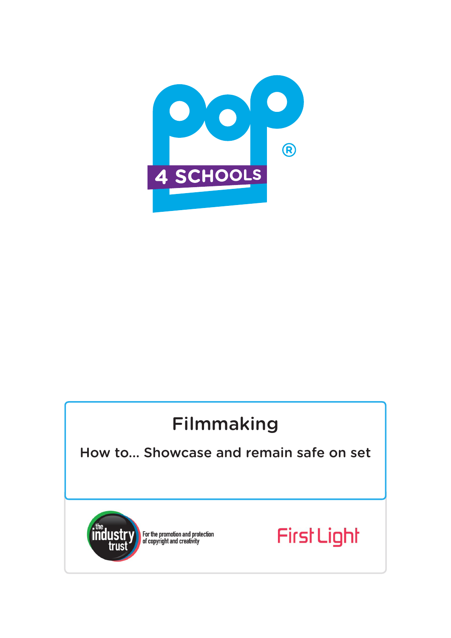

# Filmmaking

## How to... Showcase and remain safe on set



For the promotion and protection<br>of copyright and creativity

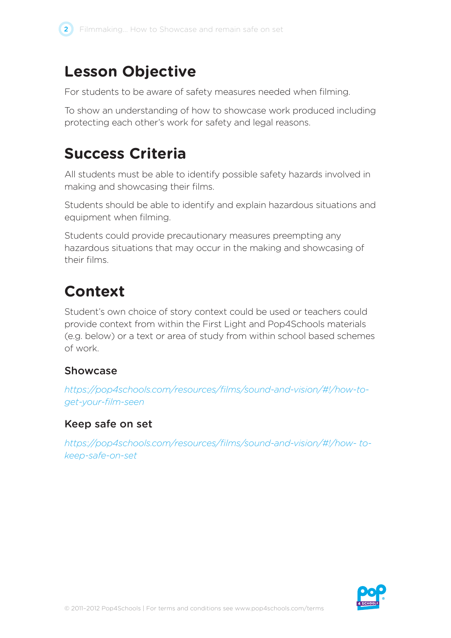

## **Lesson Objective**

For students to be aware of safety measures needed when filming.

To show an understanding of how to showcase work produced including protecting each other's work for safety and legal reasons.

## **Success Criteria**

All students must be able to identify possible safety hazards involved in making and showcasing their films.

Students should be able to identify and explain hazardous situations and equipment when filming.

Students could provide precautionary measures preempting any hazardous situations that may occur in the making and showcasing of their films.

# **Context**

Student's own choice of story context could be used or teachers could provide context from within the First Light and Pop4Schools materials (e.g. below) or a text or area of study from within school based schemes of work.

### Showcase

*https://pop4schools.com/resources/films/sound-and-vision/#!/how-toget-your-film-seen*

### Keep safe on set

*https://pop4schools.com/resources/films/sound-and-vision/#!/how- tokeep-safe-on-set* 

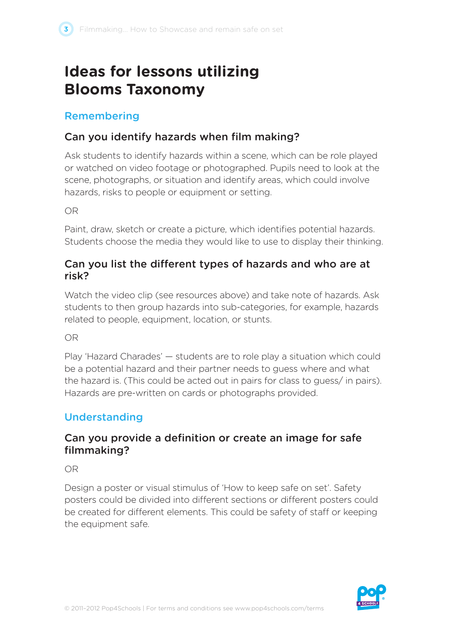# **Ideas for lessons utilizing Blooms Taxonomy**

### Remembering

## Can you identify hazards when film making?

Ask students to identify hazards within a scene, which can be role played or watched on video footage or photographed. Pupils need to look at the scene, photographs, or situation and identify areas, which could involve hazards, risks to people or equipment or setting.

OR

Paint, draw, sketch or create a picture, which identifies potential hazards. Students choose the media they would like to use to display their thinking.

#### Can you list the different types of hazards and who are at risk?

Watch the video clip (see resources above) and take note of hazards. Ask students to then group hazards into sub-categories, for example, hazards related to people, equipment, location, or stunts.

OR

Play 'Hazard Charades' — students are to role play a situation which could be a potential hazard and their partner needs to guess where and what the hazard is. (This could be acted out in pairs for class to guess/ in pairs). Hazards are pre-written on cards or photographs provided.

## Understanding

### Can you provide a definition or create an image for safe filmmaking?

OR

Design a poster or visual stimulus of 'How to keep safe on set'. Safety posters could be divided into different sections or different posters could be created for different elements. This could be safety of staff or keeping the equipment safe.

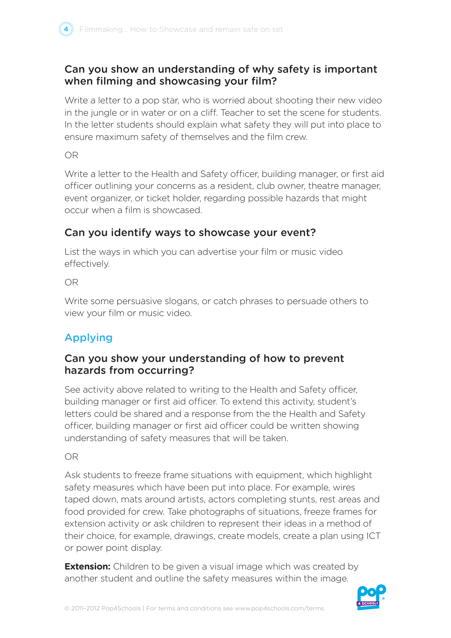#### Can you show an understanding of why safety is important when filming and showcasing your film?

Write a letter to a pop star, who is worried about shooting their new video in the jungle or in water or on a cliff. Teacher to set the scene for students. In the letter students should explain what safety they will put into place to ensure maximum safety of themselves and the film crew.

OR

Write a letter to the Health and Safety officer, building manager, or first aid officer outlining your concerns as a resident, club owner, theatre manager, event organizer, or ticket holder, regarding possible hazards that might occur when a film is showcased.

### Can you identify ways to showcase your event?

List the ways in which you can advertise your film or music video effectively.

OR

Write some persuasive slogans, or catch phrases to persuade others to view your film or music video.

## Applying

#### Can you show your understanding of how to prevent hazards from occurring?

See activity above related to writing to the Health and Safety officer, building manager or first aid officer. To extend this activity, student's letters could be shared and a response from the the Health and Safety officer, building manager or first aid officer could be written showing understanding of safety measures that will be taken.

OR

Ask students to freeze frame situations with equipment, which highlight safety measures which have been put into place. For example, wires taped down, mats around artists, actors completing stunts, rest areas and food provided for crew. Take photographs of situations, freeze frames for extension activity or ask children to represent their ideas in a method of their choice, for example, drawings, create models, create a plan using ICT or power point display.

**Extension:** Children to be given a visual image which was created by another student and outline the safety measures within the image.

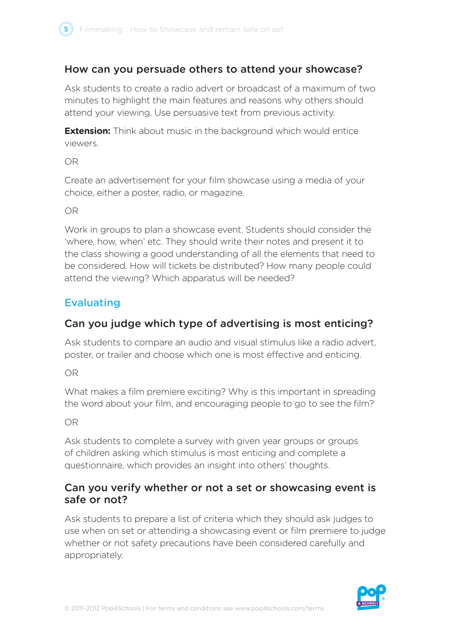

#### How can you persuade others to attend your showcase?

Ask students to create a radio advert or broadcast of a maximum of two minutes to highlight the main features and reasons why others should attend your viewing. Use persuasive text from previous activity.

**Extension:** Think about music in the background which would entice viewers.

OR

Create an advertisement for your film showcase using a media of your choice, either a poster, radio, or magazine.

OR

Work in groups to plan a showcase event. Students should consider the 'where, how, when' etc. They should write their notes and present it to the class showing a good understanding of all the elements that need to be considered. How will tickets be distributed? How many people could attend the viewing? Which apparatus will be needed?

#### Evaluating

#### Can you judge which type of advertising is most enticing?

Ask students to compare an audio and visual stimulus like a radio advert, poster, or trailer and choose which one is most effective and enticing.

OR

What makes a film premiere exciting? Why is this important in spreading the word about your film, and encouraging people to go to see the film?

OR

Ask students to complete a survey with given year groups or groups of children asking which stimulus is most enticing and complete a questionnaire, which provides an insight into others' thoughts.

#### Can you verify whether or not a set or showcasing event is safe or not?

Ask students to prepare a list of criteria which they should ask judges to use when on set or attending a showcasing event or film premiere to judge whether or not safety precautions have been considered carefully and appropriately.